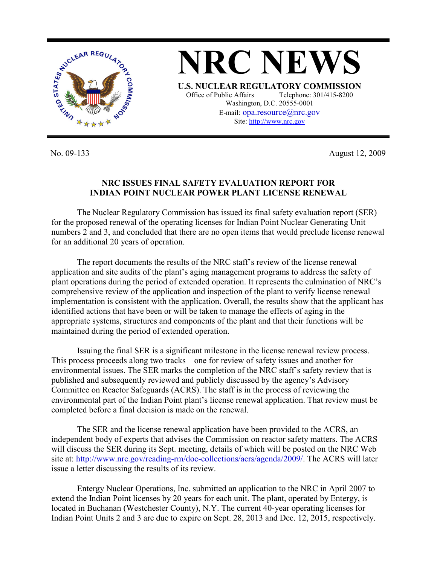

**NRC NEWS U.S. NUCLEAR REGULATORY COMMISSION** Office of Public Affairs Telephone: 301/415-8200 Washington, D.C. 20555-0001 E-mail: opa.resource@nrc.gov Site: http://www.nrc.gov

No. 09-133 August 12, 2009

## **NRC ISSUES FINAL SAFETY EVALUATION REPORT FOR INDIAN POINT NUCLEAR POWER PLANT LICENSE RENEWAL**

 The Nuclear Regulatory Commission has issued its final safety evaluation report (SER) for the proposed renewal of the operating licenses for Indian Point Nuclear Generating Unit numbers 2 and 3, and concluded that there are no open items that would preclude license renewal for an additional 20 years of operation.

 The report documents the results of the NRC staff's review of the license renewal application and site audits of the plant's aging management programs to address the safety of plant operations during the period of extended operation. It represents the culmination of NRC's comprehensive review of the application and inspection of the plant to verify license renewal implementation is consistent with the application. Overall, the results show that the applicant has identified actions that have been or will be taken to manage the effects of aging in the appropriate systems, structures and components of the plant and that their functions will be maintained during the period of extended operation.

 Issuing the final SER is a significant milestone in the license renewal review process. This process proceeds along two tracks – one for review of safety issues and another for environmental issues. The SER marks the completion of the NRC staff's safety review that is published and subsequently reviewed and publicly discussed by the agency's Advisory Committee on Reactor Safeguards (ACRS). The staff is in the process of reviewing the environmental part of the Indian Point plant's license renewal application. That review must be completed before a final decision is made on the renewal.

 The SER and the license renewal application have been provided to the ACRS, an independent body of experts that advises the Commission on reactor safety matters. The ACRS will discuss the SER during its Sept. meeting, details of which will be posted on the NRC Web site at: http://www.nrc.gov/reading-rm/doc-collections/acrs/agenda/2009/. The ACRS will later issue a letter discussing the results of its review.

Entergy Nuclear Operations, Inc. submitted an application to the NRC in April 2007 to extend the Indian Point licenses by 20 years for each unit. The plant, operated by Entergy, is located in Buchanan (Westchester County), N.Y. The current 40-year operating licenses for Indian Point Units 2 and 3 are due to expire on Sept. 28, 2013 and Dec. 12, 2015, respectively.